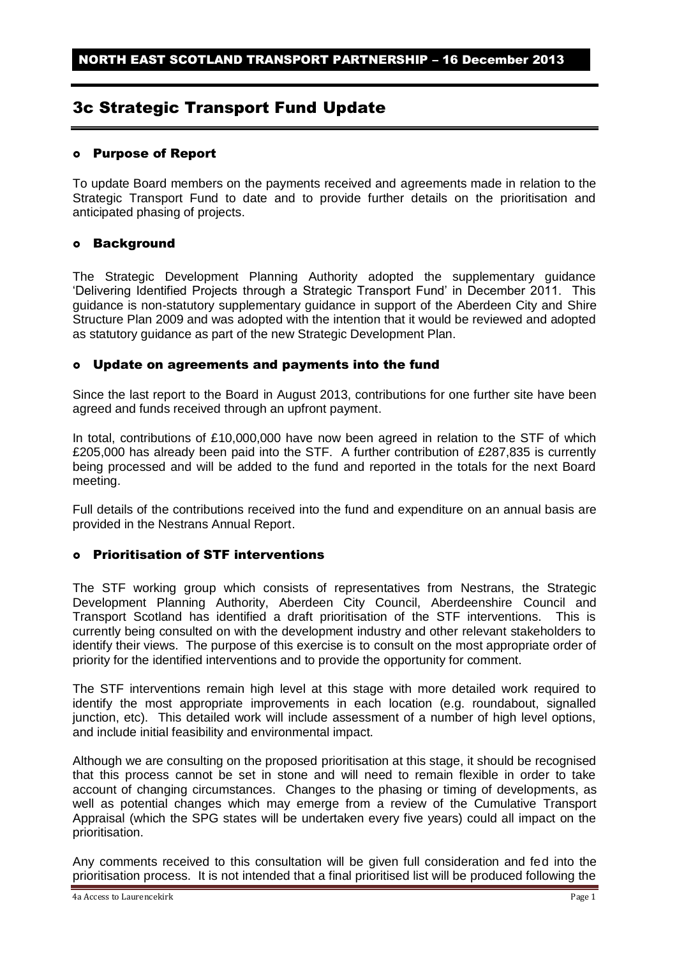# 3c Strategic Transport Fund Update

#### Purpose of Report

To update Board members on the payments received and agreements made in relation to the Strategic Transport Fund to date and to provide further details on the prioritisation and anticipated phasing of projects.

### Background

The Strategic Development Planning Authority adopted the supplementary guidance 'Delivering Identified Projects through a Strategic Transport Fund' in December 2011. This guidance is non-statutory supplementary guidance in support of the Aberdeen City and Shire Structure Plan 2009 and was adopted with the intention that it would be reviewed and adopted as statutory guidance as part of the new Strategic Development Plan.

#### Update on agreements and payments into the fund

Since the last report to the Board in August 2013, contributions for one further site have been agreed and funds received through an upfront payment.

In total, contributions of £10,000,000 have now been agreed in relation to the STF of which £205,000 has already been paid into the STF. A further contribution of £287,835 is currently being processed and will be added to the fund and reported in the totals for the next Board meeting.

Full details of the contributions received into the fund and expenditure on an annual basis are provided in the Nestrans Annual Report.

## Prioritisation of STF interventions

The STF working group which consists of representatives from Nestrans, the Strategic Development Planning Authority, Aberdeen City Council, Aberdeenshire Council and Transport Scotland has identified a draft prioritisation of the STF interventions. This is currently being consulted on with the development industry and other relevant stakeholders to identify their views. The purpose of this exercise is to consult on the most appropriate order of priority for the identified interventions and to provide the opportunity for comment.

The STF interventions remain high level at this stage with more detailed work required to identify the most appropriate improvements in each location (e.g. roundabout, signalled junction, etc). This detailed work will include assessment of a number of high level options, and include initial feasibility and environmental impact.

Although we are consulting on the proposed prioritisation at this stage, it should be recognised that this process cannot be set in stone and will need to remain flexible in order to take account of changing circumstances. Changes to the phasing or timing of developments, as well as potential changes which may emerge from a review of the Cumulative Transport Appraisal (which the SPG states will be undertaken every five years) could all impact on the prioritisation.

Any comments received to this consultation will be given full consideration and fed into the prioritisation process. It is not intended that a final prioritised list will be produced following the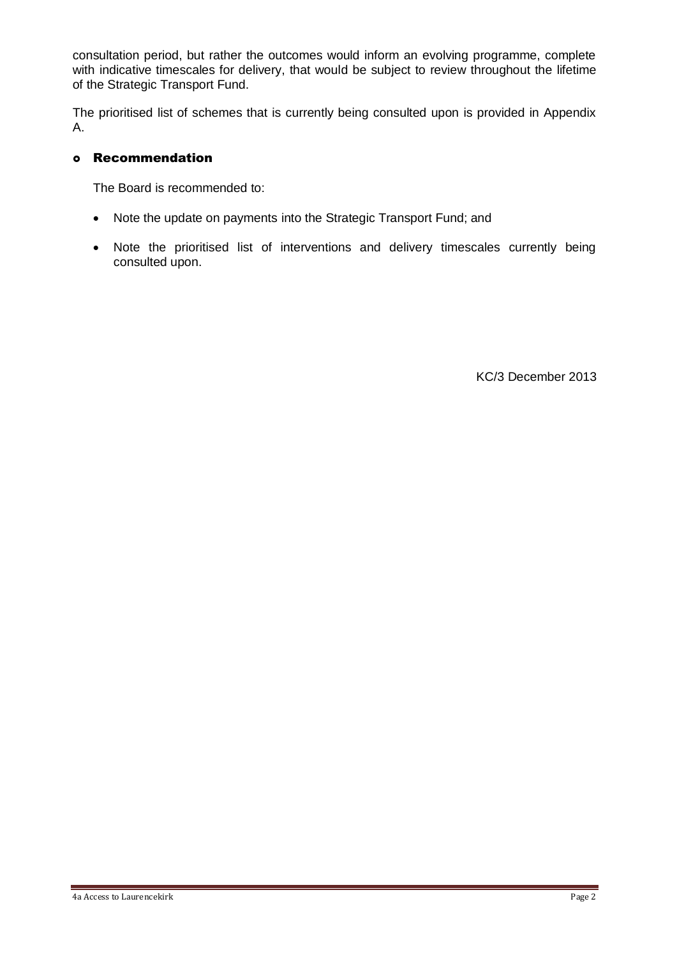consultation period, but rather the outcomes would inform an evolving programme, complete with indicative timescales for delivery, that would be subject to review throughout the lifetime of the Strategic Transport Fund.

The prioritised list of schemes that is currently being consulted upon is provided in Appendix A.

# Recommendation

The Board is recommended to:

- Note the update on payments into the Strategic Transport Fund; and
- Note the prioritised list of interventions and delivery timescales currently being consulted upon.

KC/3 December 2013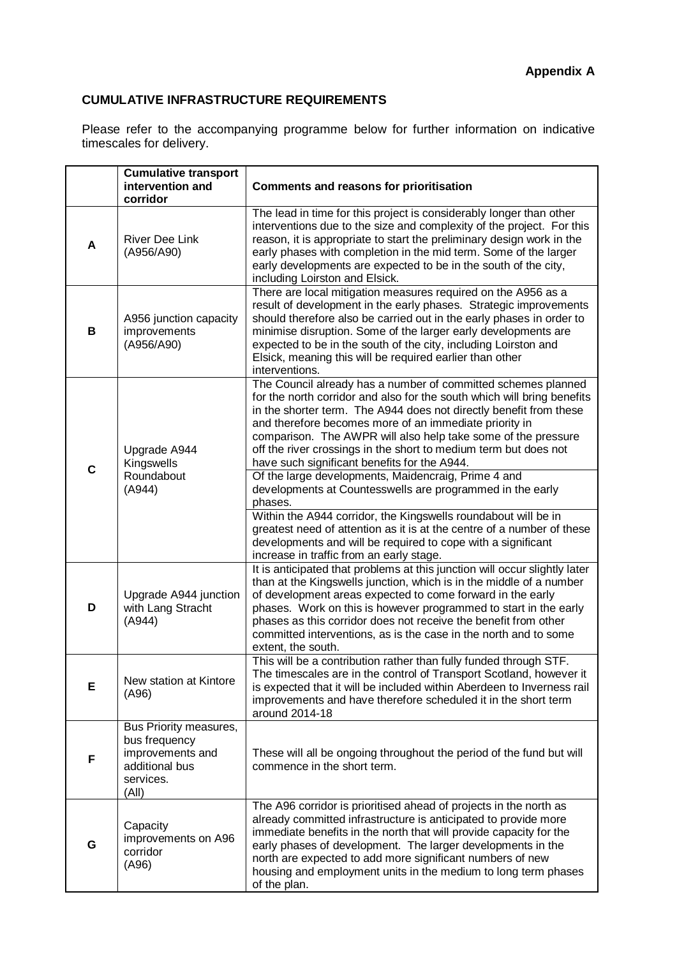### **CUMULATIVE INFRASTRUCTURE REQUIREMENTS**

Please refer to the accompanying programme below for further information on indicative timescales for delivery.

|   | <b>Cumulative transport</b><br>intervention and<br>corridor                                                                                                                                                                                                                                                                                                                                                                   | <b>Comments and reasons for prioritisation</b>                                                                                                                                                                                                                                                                                                                                                                                                                |  |  |  |  |  |  |
|---|-------------------------------------------------------------------------------------------------------------------------------------------------------------------------------------------------------------------------------------------------------------------------------------------------------------------------------------------------------------------------------------------------------------------------------|---------------------------------------------------------------------------------------------------------------------------------------------------------------------------------------------------------------------------------------------------------------------------------------------------------------------------------------------------------------------------------------------------------------------------------------------------------------|--|--|--|--|--|--|
| Α | <b>River Dee Link</b><br>(A956/A90)                                                                                                                                                                                                                                                                                                                                                                                           | The lead in time for this project is considerably longer than other<br>interventions due to the size and complexity of the project. For this<br>reason, it is appropriate to start the preliminary design work in the<br>early phases with completion in the mid term. Some of the larger<br>early developments are expected to be in the south of the city,<br>including Loirston and Elsick.                                                                |  |  |  |  |  |  |
| В | There are local mitigation measures required on the A956 as a<br>result of development in the early phases. Strategic improvements<br>should therefore also be carried out in the early phases in order to<br>minimise disruption. Some of the larger early developments are<br>expected to be in the south of the city, including Loirston and<br>Elsick, meaning this will be required earlier than other<br>interventions. |                                                                                                                                                                                                                                                                                                                                                                                                                                                               |  |  |  |  |  |  |
| C | Upgrade A944<br>Kingswells                                                                                                                                                                                                                                                                                                                                                                                                    | The Council already has a number of committed schemes planned<br>for the north corridor and also for the south which will bring benefits<br>in the shorter term. The A944 does not directly benefit from these<br>and therefore becomes more of an immediate priority in<br>comparison. The AWPR will also help take some of the pressure<br>off the river crossings in the short to medium term but does not<br>have such significant benefits for the A944. |  |  |  |  |  |  |
|   | Roundabout<br>(A944)                                                                                                                                                                                                                                                                                                                                                                                                          | Of the large developments, Maidencraig, Prime 4 and<br>developments at Countesswells are programmed in the early<br>phases.<br>Within the A944 corridor, the Kingswells roundabout will be in                                                                                                                                                                                                                                                                 |  |  |  |  |  |  |
|   |                                                                                                                                                                                                                                                                                                                                                                                                                               | greatest need of attention as it is at the centre of a number of these<br>developments and will be required to cope with a significant<br>increase in traffic from an early stage.                                                                                                                                                                                                                                                                            |  |  |  |  |  |  |
| D | Upgrade A944 junction<br>with Lang Stracht<br>(A944)                                                                                                                                                                                                                                                                                                                                                                          | It is anticipated that problems at this junction will occur slightly later<br>than at the Kingswells junction, which is in the middle of a number<br>of development areas expected to come forward in the early<br>phases. Work on this is however programmed to start in the early<br>phases as this corridor does not receive the benefit from other<br>committed interventions, as is the case in the north and to some<br>extent, the south.              |  |  |  |  |  |  |
| E | New station at Kintore<br>(A96)                                                                                                                                                                                                                                                                                                                                                                                               | This will be a contribution rather than fully funded through STF.<br>The timescales are in the control of Transport Scotland, however it<br>is expected that it will be included within Aberdeen to Inverness rail<br>improvements and have therefore scheduled it in the short term<br>around 2014-18                                                                                                                                                        |  |  |  |  |  |  |
| F | Bus Priority measures,<br>bus frequency<br>improvements and<br>additional bus<br>services.<br>(A  )                                                                                                                                                                                                                                                                                                                           | These will all be ongoing throughout the period of the fund but will<br>commence in the short term.                                                                                                                                                                                                                                                                                                                                                           |  |  |  |  |  |  |
| G | Capacity<br>improvements on A96<br>corridor<br>(A96)                                                                                                                                                                                                                                                                                                                                                                          | The A96 corridor is prioritised ahead of projects in the north as<br>already committed infrastructure is anticipated to provide more<br>immediate benefits in the north that will provide capacity for the<br>early phases of development. The larger developments in the<br>north are expected to add more significant numbers of new<br>housing and employment units in the medium to long term phases<br>of the plan.                                      |  |  |  |  |  |  |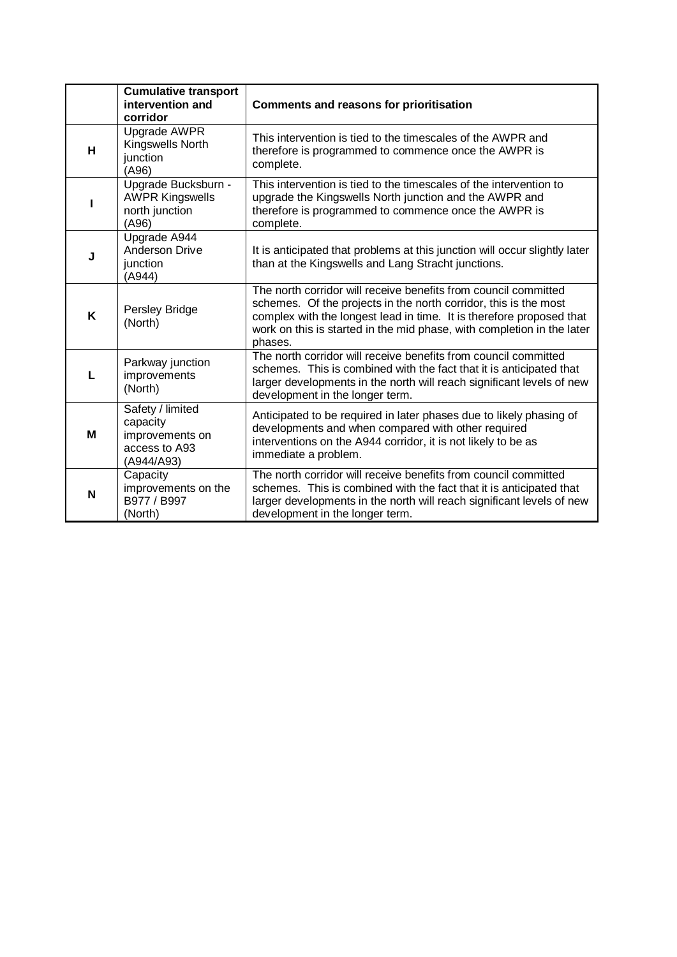|   | <b>Cumulative transport</b><br>intervention and<br>corridor                    | <b>Comments and reasons for prioritisation</b>                                                                                                                                                                                                                                                   |
|---|--------------------------------------------------------------------------------|--------------------------------------------------------------------------------------------------------------------------------------------------------------------------------------------------------------------------------------------------------------------------------------------------|
| H | Upgrade AWPR<br>Kingswells North<br>junction<br>(A96)                          | This intervention is tied to the timescales of the AWPR and<br>therefore is programmed to commence once the AWPR is<br>complete.                                                                                                                                                                 |
|   | Upgrade Bucksburn -<br><b>AWPR Kingswells</b><br>north junction<br>(A96)       | This intervention is tied to the timescales of the intervention to<br>upgrade the Kingswells North junction and the AWPR and<br>therefore is programmed to commence once the AWPR is<br>complete.                                                                                                |
| J | Upgrade A944<br><b>Anderson Drive</b><br>junction<br>(A944)                    | It is anticipated that problems at this junction will occur slightly later<br>than at the Kingswells and Lang Stracht junctions.                                                                                                                                                                 |
| K | Persley Bridge<br>(North)                                                      | The north corridor will receive benefits from council committed<br>schemes. Of the projects in the north corridor, this is the most<br>complex with the longest lead in time. It is therefore proposed that<br>work on this is started in the mid phase, with completion in the later<br>phases. |
|   | Parkway junction<br>improvements<br>(North)                                    | The north corridor will receive benefits from council committed<br>schemes. This is combined with the fact that it is anticipated that<br>larger developments in the north will reach significant levels of new<br>development in the longer term.                                               |
| М | Safety / limited<br>capacity<br>improvements on<br>access to A93<br>(A944/A93) | Anticipated to be required in later phases due to likely phasing of<br>developments and when compared with other required<br>interventions on the A944 corridor, it is not likely to be as<br>immediate a problem.                                                                               |
| N | Capacity<br>improvements on the<br>B977 / B997<br>(North)                      | The north corridor will receive benefits from council committed<br>schemes. This is combined with the fact that it is anticipated that<br>larger developments in the north will reach significant levels of new<br>development in the longer term.                                               |